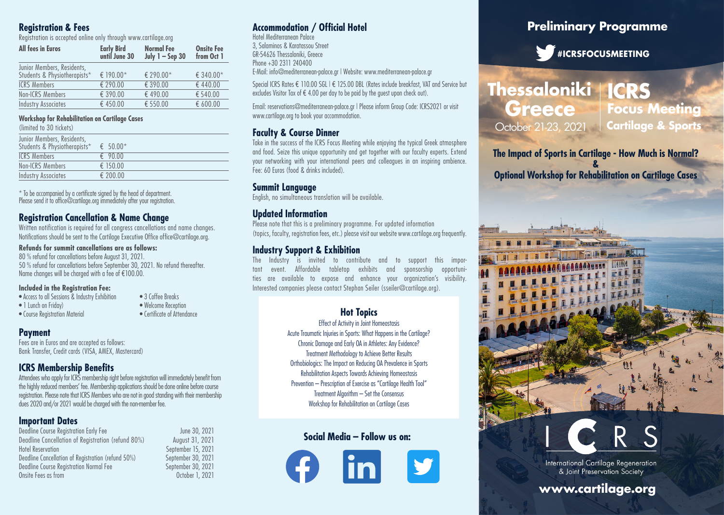### **Registration & Fees**

Registration is accepted online only through www.cartilage.org

| <b>All fees in Euros</b>     | <b>Early Bird</b><br>until June 30 | <b>Normal Fee</b><br>July $1 -$ Sep 30 | <b>Onsite Fee</b><br>from Oct 1 |
|------------------------------|------------------------------------|----------------------------------------|---------------------------------|
| Junior Members, Residents,   |                                    |                                        |                                 |
| Students & Physiotherapists* | € 190.00*                          | € 290.00*                              | € 340.00*                       |
| <b>ICRS Members</b>          | € 290.00                           | € 390.00                               | €440.00                         |
| Non-ICRS Members             | € 390.00                           | €490.00                                | € 540.00                        |
| <b>Industry Associates</b>   | €450.00                            | € 550.00                               | € 600.00                        |

### **Workshop for Rehabilitation on Cartilage Cases**

(limited to 30 tickets)

| Junior Members, Residents,   |                  |
|------------------------------|------------------|
| Students & Physiotherapists* | € $50.00*$       |
| <b>ICRS Members</b>          | $\epsilon$ 90.00 |
| Non-ICRS Members             | € 150.00         |
| Industry Associates          | € 200.00         |
|                              |                  |

\* To be accompanied by a certificate signed by the head of department. Please send it to office@cartilage.org immediately after your registration.

### **Registration Cancellation & Name Change**

Written notification is required for all congress cancellations and name changes. Notifications should be sent to the Cartilage Executive Office office@cartilage.org.

### **Refunds for summit cancellations are as follows:**

80 % refund for cancellations before August 31, 2021. 50 % refund for cancellations before September 30, 2021. No refund thereafter. Name changes will be charged with a fee of €100.00.

### **Included in the Registration Fee:**

- Access to all Sessions & Industry Exhibition 3 Coffee Breaks<br>• 1 Lunch on Friday) Welcome Recepti
- $\bullet$  Course Registration Material
- Welcome Reception<br>• Certificate of Attendance

### **Payment**

Fees are in Euros and are accepted as follows: Bank Transfer, Credit cards (VISA, AMEX, Mastercard)

### **ICRS Membership Benefits**

Attendees who apply for ICRS membership right before registration will immediately benefit from the highly reduced members' fee. Membership applications should be done online before course registration. Please note that ICRS Members who are not in good standing with their membership dues 2020 and/or 2021 would be charged with the non-member fee.

### **Important Dates**

Deadline Course Registration Early Fee June 30, 2021 Deadline Cancellation of Registration (refund 80%) August 31, 2021 Hotel Reservation<br>
Deadline Cancellation of Registration (refund 50%) September 30, 2021 Deadline Cancellation of Registration (refund 50%) Deadline Course Registration Normal Fee September 30, 2021<br>Onsite Fees as from September 30, 2021 Onsite Fees as from

3, Salaminos & Karatassou Street GR-54626 Thessaloniki, Greece

Hotel Mediterranean Palace

Phone +30 2311 240400 E-Mail: info@mediterranean-palace.gr | Website: www.mediterranean-palace.gr

Special ICRS Rates € 110.00 SGL | € 125.00 DBL (Rates include breakfast, VAT and Service but excludes Visitor Tax of  $\epsilon$  4.00 per day to be paid by the auest upon check out).

Email: reservations@mediterranean-palace.gr | Please inform Group Code: ICRS2021 or visit www.cartilage.org to book your accommodation.

### **Faculty & Course Dinner**

**Accommodation / Official Hotel**

Take in the success of the ICRS Focus Meeting while enjoying the typical Greek atmosphere and food. Seize this unique opportunity and get together with our faculty experts. Extend your networking with your international peers and colleagues in an inspiring ambience. Fee: 60 Euros (food & drinks included).

### **Summit Language**

English, no simultaneous translation will be available.

### **Updated Information**

Please note that this is a preliminary programme. For updated information (topics, faculty, registration fees, etc.) please visit our website www.cartilage.org frequently.

### **Industry Support & Exhibition**

The Industry is invited to contribute and to support this important event. Affordable tabletop exhibits and sponsorship opportunities are available to expose and enhance your organization's visibility. Interested companies please contact Stephan Seiler (sseiler@cartilage.org).

### **Hot Topics**

Effect of Activity in Joint Homeostasis Acute Traumatic Injuries in Sports: What Happens in the Cartilage? Chronic Damage and Early OA in Athletes: Any Evidence? Treatment Methodology to Achieve Better Results Orthobiologics: The Impact on Reducing OA Prevalence in Sports Rehabilitation Aspects Towards Achieving Homeostasis Prevention – Prescription of Exercise as "Cartilage Health Tool" Treatment Algorithm – Set the Consensus Workshop for Rehabilitation on Cartilage Cases

### **Social Media – Follow us on:**



### **Preliminary Programme**

**#ICRSFOCUSMEETING**

## **Thessaloniki ICRS Greece Focus Meeting** October 21-23, 2021 **Cartilage & Sports**

**The Impact of Sports in Cartilage - How Much is Normal?**

**& Optional Workshop for Rehabilitation on Cartilage Cases**

> **THE REAL PROPERTY OF PERSON** LE COLLECTION CARLO BALL ALAARAAAAAAHAA EHHE H **MANUSCUP**

LLLETTI TI **ALLIE LIBERT DE MARIE** 



International Cartilage Regeneration & Joint Preservation Society

### **www.cartilage.org**